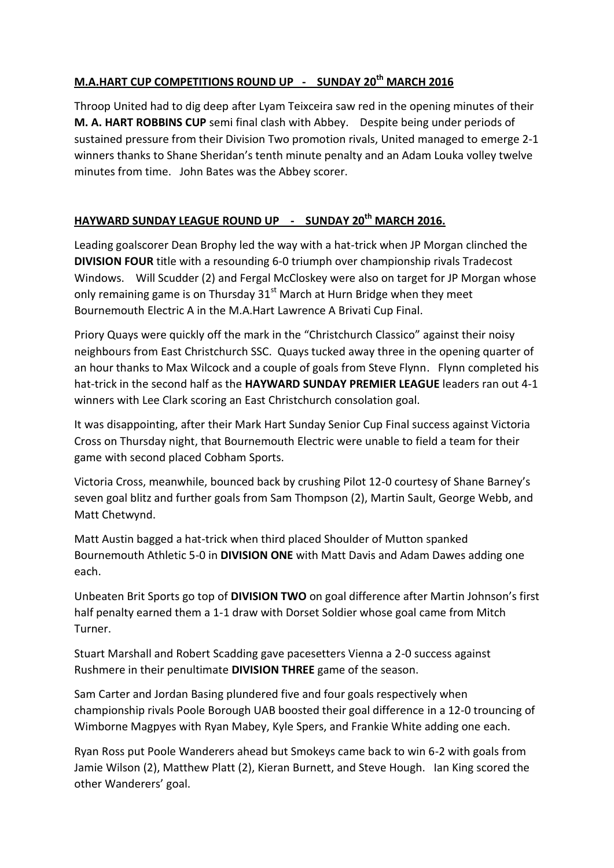## **M.A.HART CUP COMPETITIONS ROUND UP - SUNDAY 20th MARCH 2016**

Throop United had to dig deep after Lyam Teixceira saw red in the opening minutes of their **M. A. HART ROBBINS CUP** semi final clash with Abbey. Despite being under periods of sustained pressure from their Division Two promotion rivals, United managed to emerge 2-1 winners thanks to Shane Sheridan's tenth minute penalty and an Adam Louka volley twelve minutes from time. John Bates was the Abbey scorer.

## **HAYWARD SUNDAY LEAGUE ROUND UP - SUNDAY 20th MARCH 2016.**

Leading goalscorer Dean Brophy led the way with a hat-trick when JP Morgan clinched the **DIVISION FOUR** title with a resounding 6-0 triumph over championship rivals Tradecost Windows. Will Scudder (2) and Fergal McCloskey were also on target for JP Morgan whose only remaining game is on Thursday  $31<sup>st</sup>$  March at Hurn Bridge when they meet Bournemouth Electric A in the M.A.Hart Lawrence A Brivati Cup Final.

Priory Quays were quickly off the mark in the "Christchurch Classico" against their noisy neighbours from East Christchurch SSC. Quays tucked away three in the opening quarter of an hour thanks to Max Wilcock and a couple of goals from Steve Flynn. Flynn completed his hat-trick in the second half as the **HAYWARD SUNDAY PREMIER LEAGUE** leaders ran out 4-1 winners with Lee Clark scoring an East Christchurch consolation goal.

It was disappointing, after their Mark Hart Sunday Senior Cup Final success against Victoria Cross on Thursday night, that Bournemouth Electric were unable to field a team for their game with second placed Cobham Sports.

Victoria Cross, meanwhile, bounced back by crushing Pilot 12-0 courtesy of Shane Barney's seven goal blitz and further goals from Sam Thompson (2), Martin Sault, George Webb, and Matt Chetwynd.

Matt Austin bagged a hat-trick when third placed Shoulder of Mutton spanked Bournemouth Athletic 5-0 in **DIVISION ONE** with Matt Davis and Adam Dawes adding one each.

Unbeaten Brit Sports go top of **DIVISION TWO** on goal difference after Martin Johnson's first half penalty earned them a 1-1 draw with Dorset Soldier whose goal came from Mitch Turner.

Stuart Marshall and Robert Scadding gave pacesetters Vienna a 2-0 success against Rushmere in their penultimate **DIVISION THREE** game of the season.

Sam Carter and Jordan Basing plundered five and four goals respectively when championship rivals Poole Borough UAB boosted their goal difference in a 12-0 trouncing of Wimborne Magpyes with Ryan Mabey, Kyle Spers, and Frankie White adding one each.

Ryan Ross put Poole Wanderers ahead but Smokeys came back to win 6-2 with goals from Jamie Wilson (2), Matthew Platt (2), Kieran Burnett, and Steve Hough. Ian King scored the other Wanderers' goal.